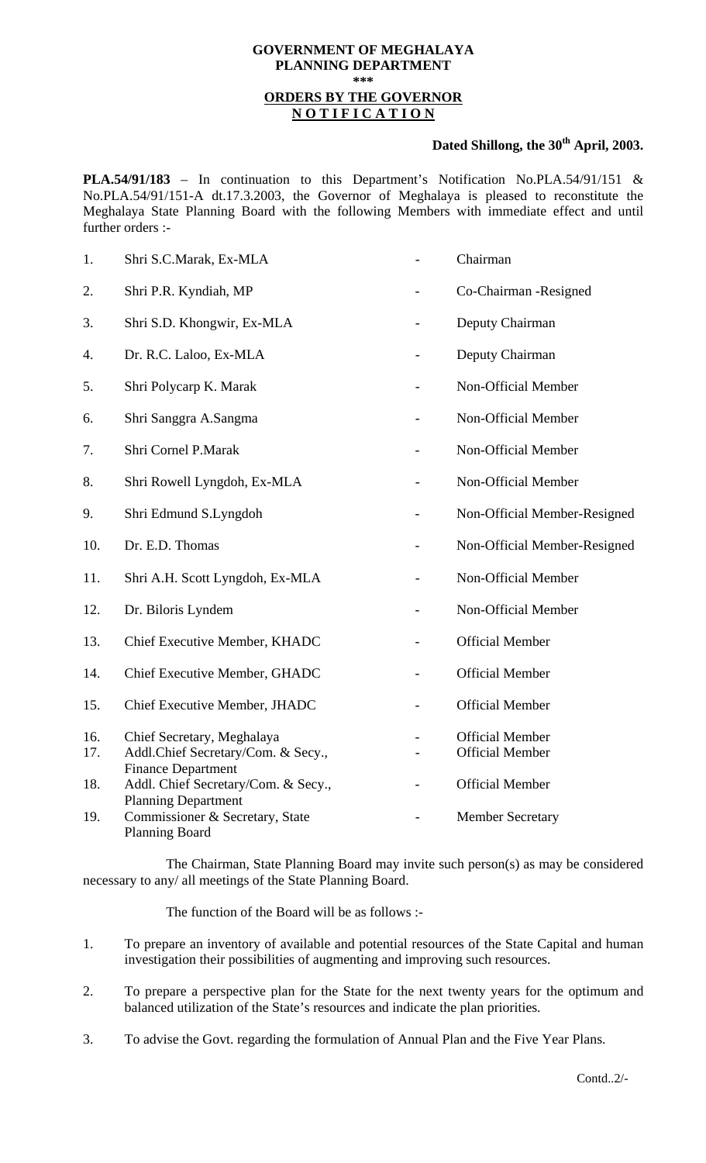## **GOVERNMENT OF MEGHALAYA PLANNING DEPARTMENT \*\*\* ORDERS BY THE GOVERNOR N O T I F I C A T I O N**

## Dated Shillong, the 30<sup>th</sup> April, 2003.

**PLA.54/91/183** – In continuation to this Department's Notification No.PLA.54/91/151 & No.PLA.54/91/151-A dt.17.3.2003, the Governor of Meghalaya is pleased to reconstitute the Meghalaya State Planning Board with the following Members with immediate effect and until further orders :-

| 1.  | Shri S.C.Marak, Ex-MLA                                           | Chairman                     |
|-----|------------------------------------------------------------------|------------------------------|
| 2.  | Shri P.R. Kyndiah, MP                                            | Co-Chairman -Resigned        |
| 3.  | Shri S.D. Khongwir, Ex-MLA                                       | Deputy Chairman              |
| 4.  | Dr. R.C. Laloo, Ex-MLA                                           | Deputy Chairman              |
| 5.  | Shri Polycarp K. Marak                                           | Non-Official Member          |
| 6.  | Shri Sanggra A.Sangma                                            | Non-Official Member          |
| 7.  | Shri Cornel P.Marak                                              | Non-Official Member          |
| 8.  | Shri Rowell Lyngdoh, Ex-MLA                                      | Non-Official Member          |
| 9.  | Shri Edmund S.Lyngdoh                                            | Non-Official Member-Resigned |
| 10. | Dr. E.D. Thomas                                                  | Non-Official Member-Resigned |
| 11. | Shri A.H. Scott Lyngdoh, Ex-MLA                                  | Non-Official Member          |
| 12. | Dr. Biloris Lyndem                                               | Non-Official Member          |
| 13. | Chief Executive Member, KHADC                                    | <b>Official Member</b>       |
| 14. | Chief Executive Member, GHADC                                    | <b>Official Member</b>       |
| 15. | Chief Executive Member, JHADC                                    | <b>Official Member</b>       |
| 16. | Chief Secretary, Meghalaya                                       | <b>Official Member</b>       |
| 17. | Addl.Chief Secretary/Com. & Secy.,                               | <b>Official Member</b>       |
| 18. | <b>Finance Department</b><br>Addl. Chief Secretary/Com. & Secy., | <b>Official Member</b>       |
|     | <b>Planning Department</b>                                       |                              |
| 19. | Commissioner & Secretary, State<br><b>Planning Board</b>         | <b>Member Secretary</b>      |

 The Chairman, State Planning Board may invite such person(s) as may be considered necessary to any/ all meetings of the State Planning Board.

The function of the Board will be as follows :-

- 1. To prepare an inventory of available and potential resources of the State Capital and human investigation their possibilities of augmenting and improving such resources.
- 2. To prepare a perspective plan for the State for the next twenty years for the optimum and balanced utilization of the State's resources and indicate the plan priorities.
- 3. To advise the Govt. regarding the formulation of Annual Plan and the Five Year Plans.